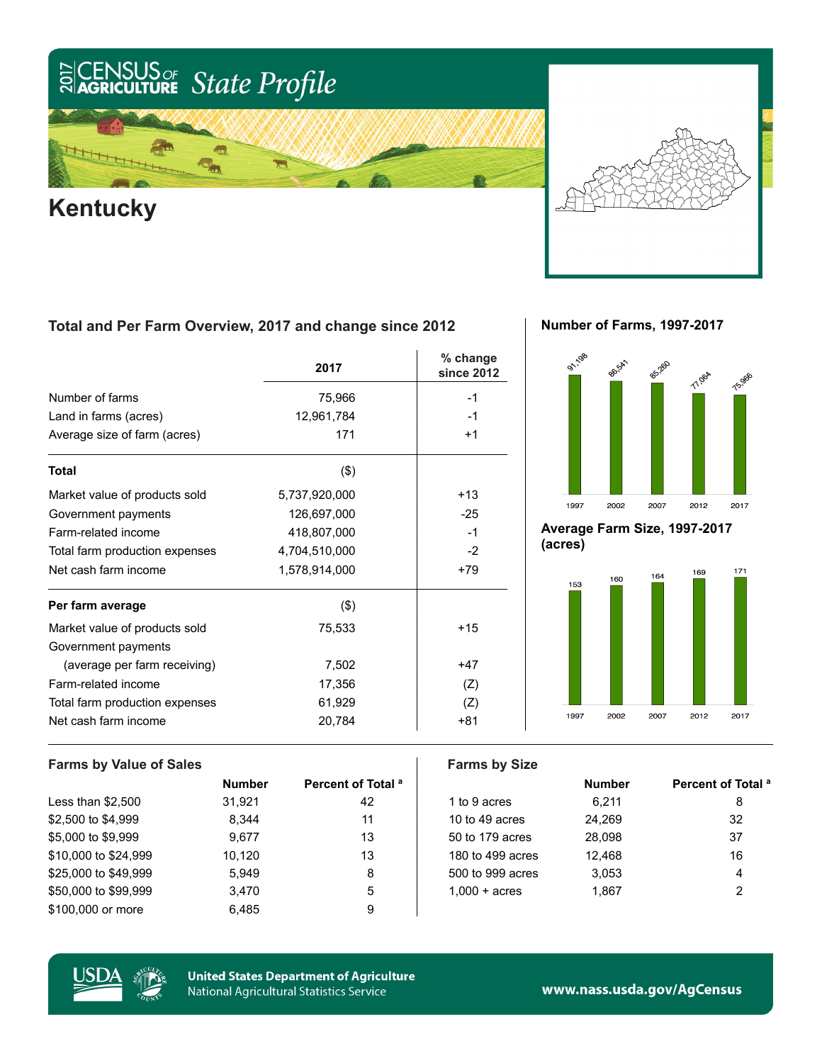### US<sub>or</sub> State Profile  $\frac{2017}{20}$

## 信 ѭ **Kentucky**

### **Total and Per Farm Overview, 2017 and change since 2012**

|                                | 2017          | % change<br>since 2012 |
|--------------------------------|---------------|------------------------|
| Number of farms                | 75,966        | $-1$                   |
| Land in farms (acres)          | 12,961,784    | -1                     |
| Average size of farm (acres)   | 171           | $+1$                   |
| <b>Total</b>                   | $($ \$)       |                        |
| Market value of products sold  | 5,737,920,000 | $+13$                  |
| Government payments            | 126,697,000   | $-25$                  |
| Farm-related income            | 418,807,000   | $-1$                   |
| Total farm production expenses | 4,704,510,000 | $-2$                   |
| Net cash farm income           | 1,578,914,000 | $+79$                  |
| Per farm average               | $($ \$)       |                        |
| Market value of products sold  | 75,533        | $+15$                  |
| Government payments            |               |                        |
| (average per farm receiving)   | 7,502         | $+47$                  |
| Farm-related income            | 17,356        | (Z)                    |
| Total farm production expenses | 61,929        | (Z)                    |
| Net cash farm income           | 20,784        | +81                    |

**Number of Farms, 1997-2017**



**Average Farm Size, 1997-2017 (acres)**



### **Farms by Value of Sales Farms by Size Number Percent of Total a a number Percent Percent of Total a** Less than \$2,500 31,921 42 dito 9 acres 6,211 8 \$2,500 to \$4,999 6.344 6.344 11 10 to 49 acres 24,269 32 \$5,000 to \$9,999 9,677 13 50 to 179 acres 28,098 37 \$10,000 to \$24,999 10,120 13 13 180 to 499 acres 12,468 16 16 \$25,000 to \$49,999 5,949 5 500 for 999 acres 3,053 \$50,000 to \$99,999 3,470 5 1,000 + acres 1,867 2 \$100,000 or more 6,485 9



**United States Department of Agriculture** National Agricultural Statistics Service

www.nass.usda.gov/AgCensus